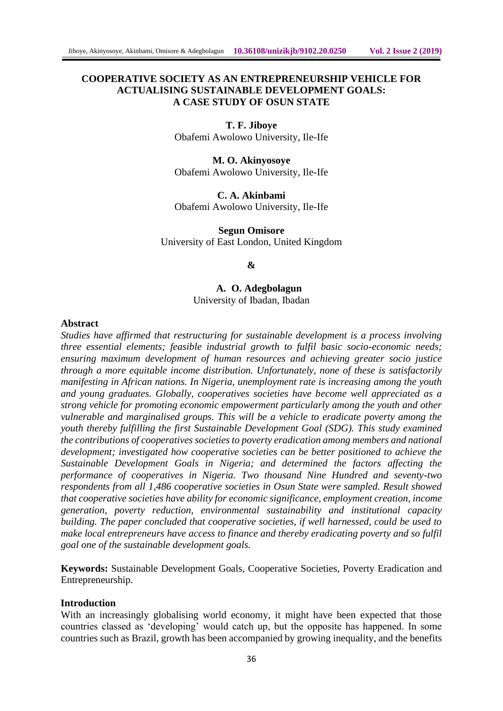# **COOPERATIVE SOCIETY AS AN ENTREPRENEURSHIP VEHICLE FOR ACTUALISING SUSTAINABLE DEVELOPMENT GOALS: A CASE STUDY OF OSUN STATE**

**T. F. Jiboye** Obafemi Awolowo University, Ile-Ife

**M. O. Akinyosoye** Obafemi Awolowo University, Ile-Ife

**C. A. Akinbami** Obafemi Awolowo University, Ile-Ife

**Segun Omisore** University of East London, United Kingdom

#### **&**

**A. O. Adegbolagun** University of Ibadan, Ibadan

#### **Abstract**

*Studies have affirmed that restructuring for sustainable development is a process involving three essential elements; feasible industrial growth to fulfil basic socio-economic needs; ensuring maximum development of human resources and achieving greater socio justice through a more equitable income distribution. Unfortunately, none of these is satisfactorily manifesting in African nations. In Nigeria, unemployment rate is increasing among the youth and young graduates. Globally, cooperatives societies have become well appreciated as a strong vehicle for promoting economic empowerment particularly among the youth and other vulnerable and marginalised groups. This will be a vehicle to eradicate poverty among the youth thereby fulfilling the first Sustainable Development Goal (SDG). This study examined the contributions of cooperatives societies to poverty eradication among members and national development; investigated how cooperative societies can be better positioned to achieve the Sustainable Development Goals in Nigeria; and determined the factors affecting the performance of cooperatives in Nigeria. Two thousand Nine Hundred and seventy-two respondents from all 1,486 cooperative societies in Osun State were sampled. Result showed that cooperative societies have ability for economic significance, employment creation, income generation, poverty reduction, environmental sustainability and institutional capacity building. The paper concluded that cooperative societies, if well harnessed, could be used to make local entrepreneurs have access to finance and thereby eradicating poverty and so fulfil goal one of the sustainable development goals.* 

**Keywords:** Sustainable Development Goals, Cooperative Societies, Poverty Eradication and Entrepreneurship.

#### **Introduction**

With an increasingly globalising world economy, it might have been expected that those countries classed as 'developing' would catch up, but the opposite has happened. In some countries such as Brazil, growth has been accompanied by growing inequality, and the benefits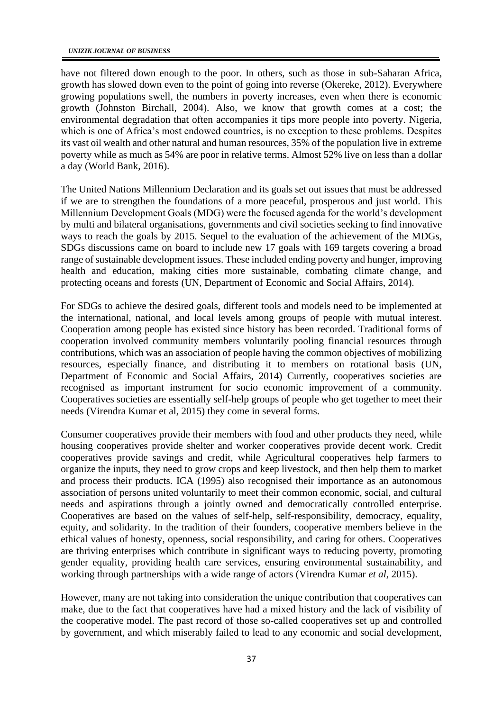have not filtered down enough to the poor. In others, such as those in sub-Saharan Africa, growth has slowed down even to the point of going into reverse (Okereke, 2012). Everywhere growing populations swell, the numbers in poverty increases, even when there is economic growth (Johnston Birchall, 2004). Also, we know that growth comes at a cost; the environmental degradation that often accompanies it tips more people into poverty. Nigeria, which is one of Africa's most endowed countries, is no exception to these problems. Despites its vast oil wealth and other natural and human resources, 35% of the population live in extreme poverty while as much as 54% are poor in relative terms. Almost 52% live on less than a dollar a day (World Bank, 2016).

The United Nations Millennium Declaration and its goals set out issues that must be addressed if we are to strengthen the foundations of a more peaceful, prosperous and just world. This Millennium Development Goals (MDG) were the focused agenda for the world's development by multi and bilateral organisations, governments and civil societies seeking to find innovative ways to reach the goals by 2015. Sequel to the evaluation of the achievement of the MDGs, SDGs discussions came on board to include new 17 goals with 169 targets covering a broad range of sustainable development issues. These included ending poverty and hunger, improving health and education, making cities more sustainable, combating climate change, and protecting oceans and forests (UN, Department of Economic and Social Affairs, 2014).

For SDGs to achieve the desired goals, different tools and models need to be implemented at the international, national, and local levels among groups of people with mutual interest. Cooperation among people has existed since history has been recorded. Traditional forms of cooperation involved community members voluntarily pooling financial resources through contributions, which was an association of people having the common objectives of mobilizing resources, especially finance, and distributing it to members on rotational basis (UN, Department of Economic and Social Affairs, 2014) Currently, cooperatives societies are recognised as important instrument for socio economic improvement of a community. Cooperatives societies are essentially self-help groups of people who get together to meet their needs (Virendra Kumar et al, 2015) they come in several forms.

Consumer cooperatives provide their members with food and other products they need, while housing cooperatives provide shelter and worker cooperatives provide decent work. Credit cooperatives provide savings and credit, while Agricultural cooperatives help farmers to organize the inputs, they need to grow crops and keep livestock, and then help them to market and process their products. ICA (1995) also recognised their importance as an autonomous association of persons united voluntarily to meet their common economic, social, and cultural needs and aspirations through a jointly owned and democratically controlled enterprise. Cooperatives are based on the values of self-help, self-responsibility, democracy, equality, equity, and solidarity. In the tradition of their founders, cooperative members believe in the ethical values of honesty, openness, social responsibility, and caring for others. Cooperatives are thriving enterprises which contribute in significant ways to reducing poverty, promoting gender equality, providing health care services, ensuring environmental sustainability, and working through partnerships with a wide range of actors (Virendra Kumar *et al*, 2015).

However, many are not taking into consideration the unique contribution that cooperatives can make, due to the fact that cooperatives have had a mixed history and the lack of visibility of the cooperative model. The past record of those so-called cooperatives set up and controlled by government, and which miserably failed to lead to any economic and social development,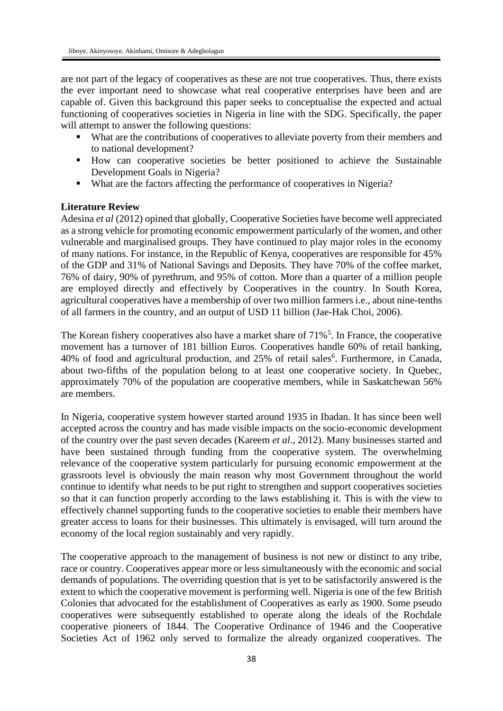are not part of the legacy of cooperatives as these are not true cooperatives. Thus, there exists the ever important need to showcase what real cooperative enterprises have been and are capable of. Given this background this paper seeks to conceptualise the expected and actual functioning of cooperatives societies in Nigeria in line with the SDG. Specifically, the paper will attempt to answer the following questions:

- What are the contributions of cooperatives to alleviate poverty from their members and to national development?
- How can cooperative societies be better positioned to achieve the Sustainable Development Goals in Nigeria?
- What are the factors affecting the performance of cooperatives in Nigeria?

### **Literature Review**

Adesina *et al* (2012) opined that globally, Cooperative Societies have become well appreciated as a strong vehicle for promoting economic empowerment particularly of the women, and other vulnerable and marginalised groups. They have continued to play major roles in the economy of many nations. For instance, in the Republic of Kenya, cooperatives are responsible for 45% of the GDP and 31% of National Savings and Deposits. They have 70% of the coffee market, 76% of dairy, 90% of pyrethrum, and 95% of cotton. More than a quarter of a million people are employed directly and effectively by Cooperatives in the country. In South Korea, agricultural cooperatives have a membership of over two million farmers i.e., about nine-tenths of all farmers in the country, and an output of USD 11 billion (Jae-Hak Choi, 2006).

The Korean fishery cooperatives also have a market share of  $71\%$ <sup>5</sup>. In France, the cooperative movement has a turnover of 181 billion Euros. Cooperatives handle 60% of retail banking, 40% of food and agricultural production, and 25% of retail sales<sup>6</sup>. Furthermore, in Canada, about two-fifths of the population belong to at least one cooperative society. In Quebec, approximately 70% of the population are cooperative members, while in Saskatchewan 56% are members.

In Nigeria, cooperative system however started around 1935 in Ibadan. It has since been well accepted across the country and has made visible impacts on the socio-economic development of the country over the past seven decades (Kareem *et al*., 2012). Many businesses started and have been sustained through funding from the cooperative system. The overwhelming relevance of the cooperative system particularly for pursuing economic empowerment at the grassroots level is obviously the main reason why most Government throughout the world continue to identify what needs to be put right to strengthen and support cooperatives societies so that it can function properly according to the laws establishing it. This is with the view to effectively channel supporting funds to the cooperative societies to enable their members have greater access to loans for their businesses. This ultimately is envisaged, will turn around the economy of the local region sustainably and very rapidly.

The cooperative approach to the management of business is not new or distinct to any tribe, race or country. Cooperatives appear more or less simultaneously with the economic and social demands of populations. The overriding question that is yet to be satisfactorily answered is the extent to which the cooperative movement is performing well. Nigeria is one of the few British Colonies that advocated for the establishment of Cooperatives as early as 1900. Some pseudo cooperatives were subsequently established to operate along the ideals of the Rochdale cooperative pioneers of 1844. The Cooperative Ordinance of 1946 and the Cooperative Societies Act of 1962 only served to formalize the already organized cooperatives. The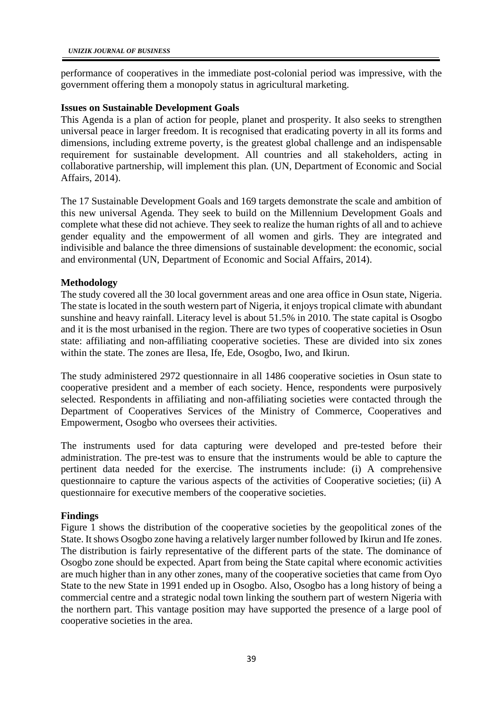performance of cooperatives in the immediate post-colonial period was impressive, with the government offering them a monopoly status in agricultural marketing.

### **Issues on Sustainable Development Goals**

This Agenda is a plan of action for people, planet and prosperity. It also seeks to strengthen universal peace in larger freedom. It is recognised that eradicating poverty in all its forms and dimensions, including extreme poverty, is the greatest global challenge and an indispensable requirement for sustainable development. All countries and all stakeholders, acting in collaborative partnership, will implement this plan. (UN, Department of Economic and Social Affairs, 2014).

The 17 Sustainable Development Goals and 169 targets demonstrate the scale and ambition of this new universal Agenda. They seek to build on the Millennium Development Goals and complete what these did not achieve. They seek to realize the human rights of all and to achieve gender equality and the empowerment of all women and girls. They are integrated and indivisible and balance the three dimensions of sustainable development: the economic, social and environmental (UN, Department of Economic and Social Affairs, 2014).

# **Methodology**

The study covered all the 30 local government areas and one area office in Osun state, Nigeria. The state is located in the south western part of Nigeria, it enjoys tropical climate with abundant sunshine and heavy rainfall. Literacy level is about 51.5% in 2010. The state capital is Osogbo and it is the most urbanised in the region. There are two types of cooperative societies in Osun state: affiliating and non-affiliating cooperative societies. These are divided into six zones within the state. The zones are Ilesa, Ife, Ede, Osogbo, Iwo, and Ikirun.

The study administered 2972 questionnaire in all 1486 cooperative societies in Osun state to cooperative president and a member of each society. Hence, respondents were purposively selected. Respondents in affiliating and non-affiliating societies were contacted through the Department of Cooperatives Services of the Ministry of Commerce, Cooperatives and Empowerment, Osogbo who oversees their activities.

The instruments used for data capturing were developed and pre-tested before their administration. The pre-test was to ensure that the instruments would be able to capture the pertinent data needed for the exercise. The instruments include: (i) A comprehensive questionnaire to capture the various aspects of the activities of Cooperative societies; (ii) A questionnaire for executive members of the cooperative societies.

# **Findings**

Figure 1 shows the distribution of the cooperative societies by the geopolitical zones of the State. It shows Osogbo zone having a relatively larger number followed by Ikirun and Ife zones. The distribution is fairly representative of the different parts of the state. The dominance of Osogbo zone should be expected. Apart from being the State capital where economic activities are much higher than in any other zones, many of the cooperative societies that came from Oyo State to the new State in 1991 ended up in Osogbo. Also, Osogbo has a long history of being a commercial centre and a strategic nodal town linking the southern part of western Nigeria with the northern part. This vantage position may have supported the presence of a large pool of cooperative societies in the area.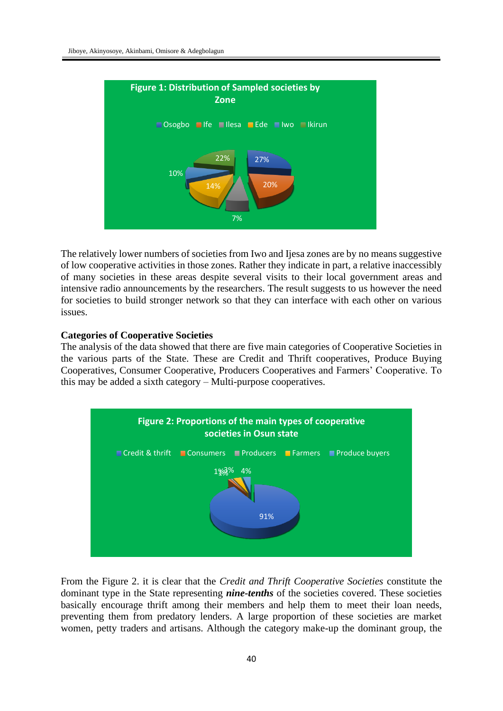

The relatively lower numbers of societies from Iwo and Ijesa zones are by no means suggestive of low cooperative activities in those zones. Rather they indicate in part, a relative inaccessibly of many societies in these areas despite several visits to their local government areas and intensive radio announcements by the researchers. The result suggests to us however the need for societies to build stronger network so that they can interface with each other on various issues.

#### **Categories of Cooperative Societies**

The analysis of the data showed that there are five main categories of Cooperative Societies in the various parts of the State. These are Credit and Thrift cooperatives, Produce Buying Cooperatives, Consumer Cooperative, Producers Cooperatives and Farmers' Cooperative. To this may be added a sixth category – Multi-purpose cooperatives.



From the Figure 2. it is clear that the *Credit and Thrift Cooperative Societies* constitute the dominant type in the State representing *nine-tenths* of the societies covered. These societies basically encourage thrift among their members and help them to meet their loan needs, preventing them from predatory lenders. A large proportion of these societies are market women, petty traders and artisans. Although the category make-up the dominant group, the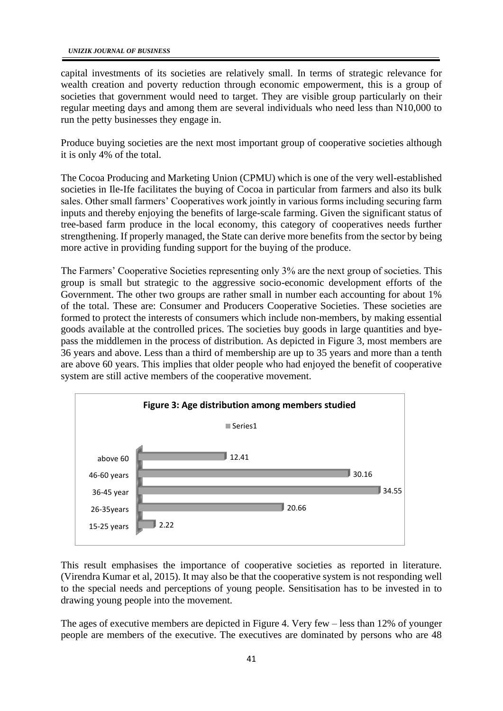capital investments of its societies are relatively small. In terms of strategic relevance for wealth creation and poverty reduction through economic empowerment, this is a group of societies that government would need to target. They are visible group particularly on their regular meeting days and among them are several individuals who need less than N10,000 to run the petty businesses they engage in.

Produce buying societies are the next most important group of cooperative societies although it is only 4% of the total.

The Cocoa Producing and Marketing Union (CPMU) which is one of the very well-established societies in Ile-Ife facilitates the buying of Cocoa in particular from farmers and also its bulk sales. Other small farmers' Cooperatives work jointly in various forms including securing farm inputs and thereby enjoying the benefits of large-scale farming. Given the significant status of tree-based farm produce in the local economy, this category of cooperatives needs further strengthening. If properly managed, the State can derive more benefits from the sector by being more active in providing funding support for the buying of the produce.

The Farmers' Cooperative Societies representing only 3% are the next group of societies. This group is small but strategic to the aggressive socio-economic development efforts of the Government. The other two groups are rather small in number each accounting for about 1% of the total. These are: Consumer and Producers Cooperative Societies. These societies are formed to protect the interests of consumers which include non-members, by making essential goods available at the controlled prices. The societies buy goods in large quantities and byepass the middlemen in the process of distribution. As depicted in Figure 3, most members are 36 years and above. Less than a third of membership are up to 35 years and more than a tenth are above 60 years. This implies that older people who had enjoyed the benefit of cooperative system are still active members of the cooperative movement.



This result emphasises the importance of cooperative societies as reported in literature. (Virendra Kumar et al, 2015). It may also be that the cooperative system is not responding well to the special needs and perceptions of young people. Sensitisation has to be invested in to drawing young people into the movement.

The ages of executive members are depicted in Figure 4. Very few – less than 12% of younger people are members of the executive. The executives are dominated by persons who are 48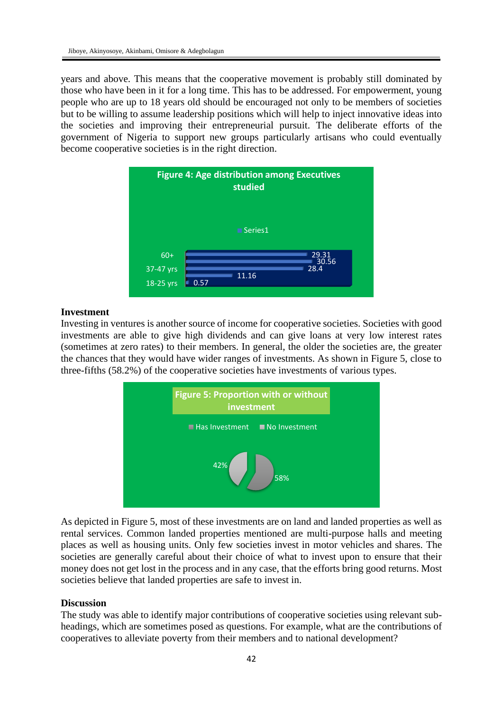years and above. This means that the cooperative movement is probably still dominated by those who have been in it for a long time. This has to be addressed. For empowerment, young people who are up to 18 years old should be encouraged not only to be members of societies but to be willing to assume leadership positions which will help to inject innovative ideas into the societies and improving their entrepreneurial pursuit. The deliberate efforts of the government of Nigeria to support new groups particularly artisans who could eventually become cooperative societies is in the right direction.



# **Investment**

Investing in ventures is another source of income for cooperative societies. Societies with good investments are able to give high dividends and can give loans at very low interest rates (sometimes at zero rates) to their members. In general, the older the societies are, the greater the chances that they would have wider ranges of investments. As shown in Figure 5, close to three-fifths (58.2%) of the cooperative societies have investments of various types.



As depicted in Figure 5, most of these investments are on land and landed properties as well as rental services. Common landed properties mentioned are multi-purpose halls and meeting places as well as housing units. Only few societies invest in motor vehicles and shares. The societies are generally careful about their choice of what to invest upon to ensure that their money does not get lost in the process and in any case, that the efforts bring good returns. Most societies believe that landed properties are safe to invest in.

#### **Discussion**

The study was able to identify major contributions of cooperative societies using relevant subheadings, which are sometimes posed as questions. For example, what are the contributions of cooperatives to alleviate poverty from their members and to national development?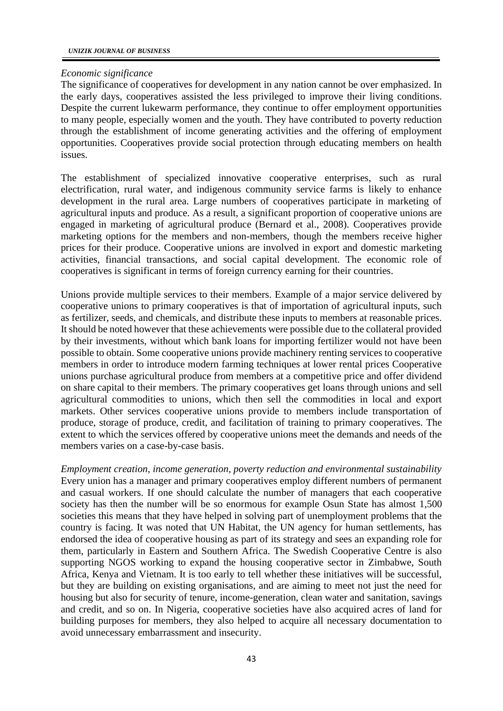## *Economic significance*

The significance of cooperatives for development in any nation cannot be over emphasized. In the early days, cooperatives assisted the less privileged to improve their living conditions. Despite the current lukewarm performance, they continue to offer employment opportunities to many people, especially women and the youth. They have contributed to poverty reduction through the establishment of income generating activities and the offering of employment opportunities. Cooperatives provide social protection through educating members on health issues.

The establishment of specialized innovative cooperative enterprises, such as rural electrification, rural water, and indigenous community service farms is likely to enhance development in the rural area. Large numbers of cooperatives participate in marketing of agricultural inputs and produce. As a result, a significant proportion of cooperative unions are engaged in marketing of agricultural produce (Bernard et al., 2008). Cooperatives provide marketing options for the members and non-members, though the members receive higher prices for their produce. Cooperative unions are involved in export and domestic marketing activities, financial transactions, and social capital development. The economic role of cooperatives is significant in terms of foreign currency earning for their countries.

Unions provide multiple services to their members. Example of a major service delivered by cooperative unions to primary cooperatives is that of importation of agricultural inputs, such as fertilizer, seeds, and chemicals, and distribute these inputs to members at reasonable prices. It should be noted however that these achievements were possible due to the collateral provided by their investments, without which bank loans for importing fertilizer would not have been possible to obtain. Some cooperative unions provide machinery renting services to cooperative members in order to introduce modern farming techniques at lower rental prices Cooperative unions purchase agricultural produce from members at a competitive price and offer dividend on share capital to their members. The primary cooperatives get loans through unions and sell agricultural commodities to unions, which then sell the commodities in local and export markets. Other services cooperative unions provide to members include transportation of produce, storage of produce, credit, and facilitation of training to primary cooperatives. The extent to which the services offered by cooperative unions meet the demands and needs of the members varies on a case-by-case basis.

*Employment creation, income generation, poverty reduction and environmental sustainability* Every union has a manager and primary cooperatives employ different numbers of permanent and casual workers. If one should calculate the number of managers that each cooperative society has then the number will be so enormous for example Osun State has almost 1,500 societies this means that they have helped in solving part of unemployment problems that the country is facing. It was noted that UN Habitat, the UN agency for human settlements, has endorsed the idea of cooperative housing as part of its strategy and sees an expanding role for them, particularly in Eastern and Southern Africa. The Swedish Cooperative Centre is also supporting NGOS working to expand the housing cooperative sector in Zimbabwe, South Africa, Kenya and Vietnam. It is too early to tell whether these initiatives will be successful, but they are building on existing organisations, and are aiming to meet not just the need for housing but also for security of tenure, income-generation, clean water and sanitation, savings and credit, and so on. In Nigeria, cooperative societies have also acquired acres of land for building purposes for members, they also helped to acquire all necessary documentation to avoid unnecessary embarrassment and insecurity.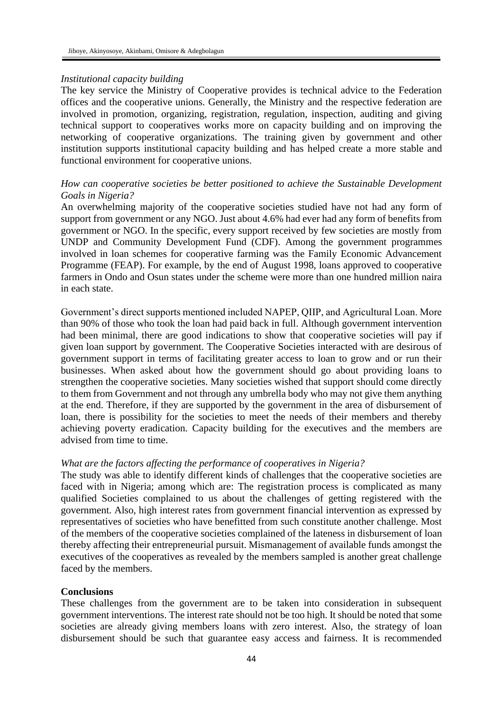#### *Institutional capacity building*

The key service the Ministry of Cooperative provides is technical advice to the Federation offices and the cooperative unions. Generally, the Ministry and the respective federation are involved in promotion, organizing, registration, regulation, inspection, auditing and giving technical support to cooperatives works more on capacity building and on improving the networking of cooperative organizations. The training given by government and other institution supports institutional capacity building and has helped create a more stable and functional environment for cooperative unions.

# *How can cooperative societies be better positioned to achieve the Sustainable Development Goals in Nigeria?*

An overwhelming majority of the cooperative societies studied have not had any form of support from government or any NGO. Just about 4.6% had ever had any form of benefits from government or NGO. In the specific, every support received by few societies are mostly from UNDP and Community Development Fund (CDF). Among the government programmes involved in loan schemes for cooperative farming was the Family Economic Advancement Programme (FEAP). For example, by the end of August 1998, loans approved to cooperative farmers in Ondo and Osun states under the scheme were more than one hundred million naira in each state.

Government's direct supports mentioned included NAPEP, QIIP, and Agricultural Loan. More than 90% of those who took the loan had paid back in full. Although government intervention had been minimal, there are good indications to show that cooperative societies will pay if given loan support by government. The Cooperative Societies interacted with are desirous of government support in terms of facilitating greater access to loan to grow and or run their businesses. When asked about how the government should go about providing loans to strengthen the cooperative societies. Many societies wished that support should come directly to them from Government and not through any umbrella body who may not give them anything at the end. Therefore, if they are supported by the government in the area of disbursement of loan, there is possibility for the societies to meet the needs of their members and thereby achieving poverty eradication. Capacity building for the executives and the members are advised from time to time.

#### *What are the factors affecting the performance of cooperatives in Nigeria?*

The study was able to identify different kinds of challenges that the cooperative societies are faced with in Nigeria; among which are: The registration process is complicated as many qualified Societies complained to us about the challenges of getting registered with the government. Also, high interest rates from government financial intervention as expressed by representatives of societies who have benefitted from such constitute another challenge. Most of the members of the cooperative societies complained of the lateness in disbursement of loan thereby affecting their entrepreneurial pursuit. Mismanagement of available funds amongst the executives of the cooperatives as revealed by the members sampled is another great challenge faced by the members.

#### **Conclusions**

These challenges from the government are to be taken into consideration in subsequent government interventions. The interest rate should not be too high. It should be noted that some societies are already giving members loans with zero interest. Also, the strategy of loan disbursement should be such that guarantee easy access and fairness. It is recommended